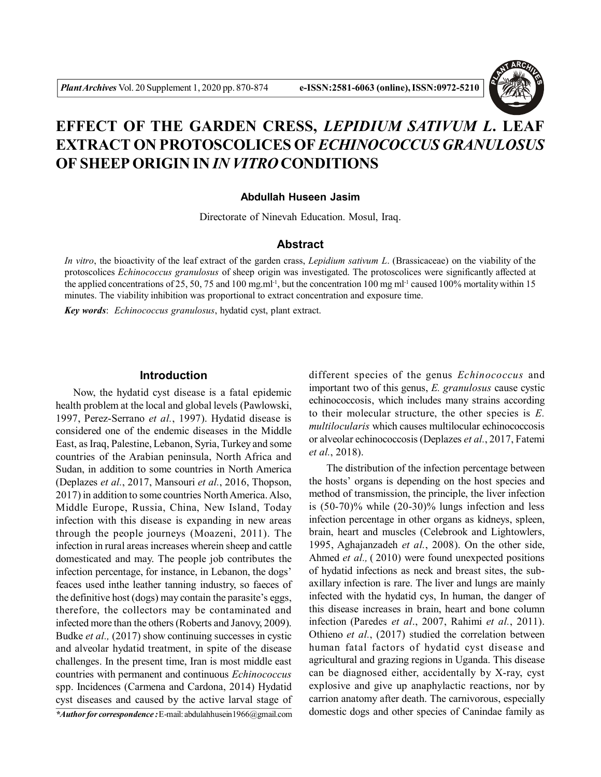

# **EFFECT OF THE GARDEN CRESS,** *LEPIDIUM SATIVUM L***. LEAF EXTRACT ON PROTOSCOLICES OF** *ECHINOCOCCUS GRANULOSUS* **OF SHEEP ORIGIN IN** *IN VITRO* **CONDITIONS**

### **Abdullah Huseen Jasim**

Directorate of Ninevah Education. Mosul, Iraq.

# **Abstract**

*In vitro*, the bioactivity of the leaf extract of the garden crass, *Lepidium sativum L*. (Brassicaceae) on the viability of the protoscolices *Echinococcus granulosus* of sheep origin was investigated. The protoscolices were significantly affected at the applied concentrations of 25, 50, 75 and 100 mg.ml<sup>-1</sup>, but the concentration 100 mg ml<sup>-1</sup> caused 100% mortality within 15 minutes. The viability inhibition was proportional to extract concentration and exposure time.

*Key words*: *Echinococcus granulosus*, hydatid cyst, plant extract.

#### **Introduction**

Now, the hydatid cyst disease is a fatal epidemic health problem at the local and global levels (Pawlowski, 1997, Perez-Serrano *et al.*, 1997). Hydatid disease is considered one of the endemic diseases in the Middle East, as Iraq, Palestine, Lebanon, Syria, Turkey and some countries of the Arabian peninsula, North Africa and Sudan, in addition to some countries in North America (Deplazes *et al.*, 2017, Mansouri *et al.*, 2016, Thopson, 2017) in addition to some countries North America. Also, Middle Europe, Russia, China, New Island, Today infection with this disease is expanding in new areas through the people journeys (Moazeni, 2011). The infection in rural areas increases wherein sheep and cattle domesticated and may. The people job contributes the infection percentage, for instance, in Lebanon, the dogs' feaces used inthe leather tanning industry, so faeces of the definitive host (dogs) may contain the parasite's eggs, therefore, the collectors may be contaminated and infected more than the others (Roberts and Janovy, 2009). Budke *et al.,* (2017) show continuing successes in cystic and alveolar hydatid treatment, in spite of the disease challenges. In the present time, Iran is most middle east countries with permanent and continuous *Echinococcus* spp. Incidences (Carmena and Cardona, 2014) Hydatid cyst diseases and caused by the active larval stage of different species of the genus *Echinococcus* and important two of this genus, *E. granulosus* cause cystic echinococcosis, which includes many strains according to their molecular structure, the other species is *E. multilocularis* which causes multilocular echinococcosis or alveolar echinococcosis (Deplazes *et al.*, 2017, Fatemi *et al.*, 2018).

The distribution of the infection percentage between the hosts' organs is depending on the host species and method of transmission, the principle, the liver infection is (50-70)% while (20-30)% lungs infection and less infection percentage in other organs as kidneys, spleen, brain, heart and muscles (Celebrook and Lightowlers, 1995, Aghajanzadeh *et al.*, 2008). On the other side, Ahmed *et al.,* ( 2010) were found unexpected positions of hydatid infections as neck and breast sites, the subaxillary infection is rare. The liver and lungs are mainly infected with the hydatid cys, In human, the danger of this disease increases in brain, heart and bone column infection (Paredes *et al*., 2007, Rahimi *et al.*, 2011). Othieno *et al.*, (2017) studied the correlation between human fatal factors of hydatid cyst disease and agricultural and grazing regions in Uganda. This disease can be diagnosed either, accidentally by X-ray, cyst explosive and give up anaphylactic reactions, nor by carrion anatomy after death. The carnivorous, especially domestic dogs and other species of Canindae family as

*<sup>\*</sup>Author for correspondence :* E-mail: abdulahhusein1966@gmail.com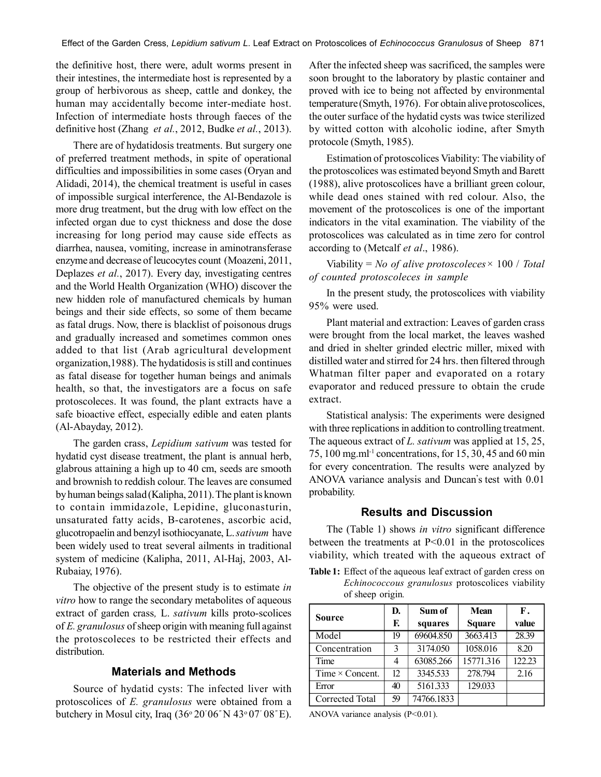the definitive host, there were, adult worms present in their intestines, the intermediate host is represented by a group of herbivorous as sheep, cattle and donkey, the human may accidentally become inter-mediate host. Infection of intermediate hosts through faeces of the definitive host (Zhang *et al.*, 2012, Budke *et al.*, 2013).

There are of hydatidosis treatments. But surgery one of preferred treatment methods, in spite of operational difficulties and impossibilities in some cases (Oryan and Alidadi, 2014), the chemical treatment is useful in cases of impossible surgical interference, the Al-Bendazole is more drug treatment, but the drug with low effect on the infected organ due to cyst thickness and dose the dose increasing for long period may cause side effects as diarrhea, nausea, vomiting, increase in aminotransferase enzyme and decrease of leucocytes count (Moazeni, 2011, Deplazes *et al.*, 2017). Every day, investigating centres and the World Health Organization (WHO) discover the new hidden role of manufactured chemicals by human beings and their side effects, so some of them became as fatal drugs. Now, there is blacklist of poisonous drugs and gradually increased and sometimes common ones added to that list (Arab agricultural development organization,1988). The hydatidosis is still and continues as fatal disease for together human beings and animals health, so that, the investigators are a focus on safe protoscoleces. It was found, the plant extracts have a safe bioactive effect, especially edible and eaten plants (Al-Abayday, 2012).

The garden crass, *Lepidium sativum* was tested for hydatid cyst disease treatment, the plant is annual herb, glabrous attaining a high up to 40 cm, seeds are smooth and brownish to reddish colour. The leaves are consumed by human beings salad (Kalipha, 2011). The plant is known to contain immidazole, Lepidine, gluconasturin, unsaturated fatty acids, B-carotenes, ascorbic acid, glucotropaelin and benzyl isothiocyanate, L. *sativum* have been widely used to treat several ailments in traditional system of medicine (Kalipha, 2011, Al-Haj, 2003, Al-Rubaiay, 1976).

The objective of the present study is to estimate *in vitro* how to range the secondary metabolites of aqueous extract of garden crass*,* L. *sativum* kills proto-scolices of *E. granulosus* of sheep origin with meaning full against the protoscoleces to be restricted their effects and distribution.

# **Materials and Methods**

Source of hydatid cysts: The infected liver with protoscolices of *E. granulosus* were obtained from a butchery in Mosul city, Iraq (36<sup>o</sup>20*'* 06*"* N 43<sup>o</sup>07*'* 08*"* E). After the infected sheep was sacrificed, the samples were soon brought to the laboratory by plastic container and proved with ice to being not affected by environmental temperature (Smyth, 1976). For obtain alive protoscolices, the outer surface of the hydatid cysts was twice sterilized by witted cotton with alcoholic iodine, after Smyth protocole (Smyth, 1985).

Estimation of protoscolices Viability: The viability of the protoscolices was estimated beyond Smyth and Barett (1988), alive protoscolices have a brilliant green colour, while dead ones stained with red colour. Also, the movement of the protoscolices is one of the important indicators in the vital examination. The viability of the protoscolices was calculated as in time zero for control according to (Metcalf *et al*., 1986).

Viability = *No of alive protoscoleces×* 100 / *Total of counted protoscoleces in sample*

In the present study, the protoscolices with viability 95% were used.

Plant material and extraction: Leaves of garden crass were brought from the local market, the leaves washed and dried in shelter grinded electric miller, mixed with distilled water and stirred for 24 hrs. then filtered through Whatman filter paper and evaporated on a rotary evaporator and reduced pressure to obtain the crude extract.

Statistical analysis: The experiments were designed with three replications in addition to controlling treatment. The aqueous extract of *L. sativum* was applied at 15, 25, 75, 100 mg.ml-1 concentrations, for 15, 30, 45 and 60 min for every concentration. The results were analyzed by ANOVA variance analysis and Duncan**'** s test with 0.01 probability.

# **Results and Discussion**

The (Table 1) shows *in vitro* significant difference between the treatments at  $P<0.01$  in the protoscolices viability, which treated with the aqueous extract of

**Table 1:** Effect of the aqueous leaf extract of garden cress on *Echinococcous granulosus* protoscolices viability of sheep origin*.*

|                        | D. | Sum of     | <b>Mean</b>   | $\mathbf{F}$ . |
|------------------------|----|------------|---------------|----------------|
| <b>Source</b>          | F. | squares    | <b>Square</b> | value          |
| Model                  | 19 | 69604.850  | 3663.413      | 28.39          |
| Concentration          | 3  | 3174.050   | 1058.016      | 8.20           |
| Time                   | 4  | 63085.266  | 15771.316     | 122.23         |
| Time $\times$ Concent. | 12 | 3345.533   | 278.794       | 2.16           |
| Error                  | 40 | 5161.333   | 129.033       |                |
| Corrected Total        | 59 | 74766.1833 |               |                |

ANOVA variance analysis (P<0.01).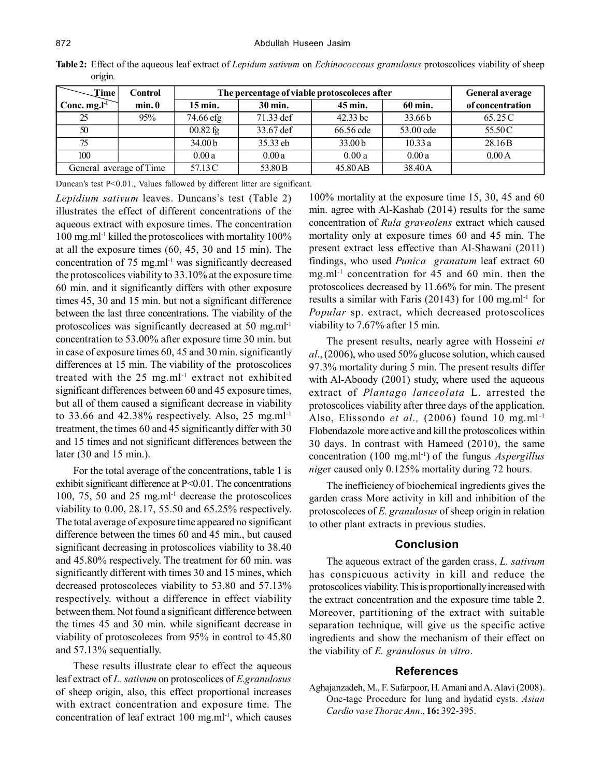| Time <sub>1</sub>       | Control | The percentage of viable protoscoleces after | <b>General average</b> |                    |           |                    |
|-------------------------|---------|----------------------------------------------|------------------------|--------------------|-----------|--------------------|
| Conc. $mg.l^{-1}$       | min.0   | $15 \text{ min.}$                            | 30 min.                | 45 min.            | 60 min.   | of concentration   |
| 25                      | 95%     | 74.66 efg                                    | 71.33 def              | 42.33 bc           | 33.66 b   | 65.25 C            |
| 50                      |         | $00.82$ fg                                   | 33.67 def              | 66.56 cde          | 53.00 cde | 55.50C             |
| 75                      |         | 34.00 b                                      | 35.33 eb               | 33.00 <sub>b</sub> | 10.33a    | 28.16 <sub>B</sub> |
| 100                     |         | 0.00a                                        | 0.00a                  | 0.00a              | 0.00a     | 0.00A              |
| General average of Time |         | 57.13 C                                      | 53.80 B                | 45.80 AB           | 38.40A    |                    |

**Table 2:** Effect of the aqueous leaf extract of *Lepidum sativum* on *Echinococcous granulosus* protoscolices viability of sheep origin*.*

Duncan's test P<0.01., Values fallowed by different litter are significant.

*Lepidium sativum* leaves. Duncans's test (Table 2) illustrates the effect of different concentrations of the aqueous extract with exposure times. The concentration 100 mg.ml-1 killed the protoscolices with mortality 100% at all the exposure times (60, 45, 30 and 15 min). The concentration of  $75 \text{ mg.m}$ <sup>11</sup> was significantly decreased the protoscolices viability to 33.10% at the exposure time 60 min. and it significantly differs with other exposure times 45, 30 and 15 min. but not a significant difference between the last three concentrations. The viability of the protoscolices was significantly decreased at 50 mg.ml<sup>-1</sup> concentration to 53.00% after exposure time 30 min. but in case of exposure times 60, 45 and 30 min. significantly differences at 15 min. The viability of the protoscolices treated with the  $25$  mg.ml<sup>-1</sup> extract not exhibited significant differences between 60 and 45 exposure times, but all of them caused a significant decrease in viability to 33.66 and 42.38% respectively. Also, 25 mg.ml<sup>-1</sup> treatment, the times 60 and 45 significantly differ with 30 and 15 times and not significant differences between the later (30 and 15 min.).

For the total average of the concentrations, table 1 is exhibit significant difference at P<0.01. The concentrations 100, 75, 50 and 25 mg.ml-1 decrease the protoscolices viability to 0.00, 28.17, 55.50 and 65.25% respectively. The total average of exposure time appeared no significant difference between the times 60 and 45 min., but caused significant decreasing in protoscolices viability to 38.40 and 45.80% respectively. The treatment for 60 min. was significantly different with times 30 and 15 mines, which decreased protoscoleces viability to 53.80 and 57.13% respectively. without a difference in effect viability between them. Not found a significant difference between the times 45 and 30 min. while significant decrease in viability of protoscoleces from 95% in control to 45.80 and 57.13% sequentially.

These results illustrate clear to effect the aqueous leaf extract of *L. sativum* on protoscolices of *E.granulosus* of sheep origin, also, this effect proportional increases with extract concentration and exposure time. The concentration of leaf extract  $100$  mg.ml<sup>-1</sup>, which causes 100% mortality at the exposure time 15, 30, 45 and 60 min. agree with Al-Kashab (2014) results for the same concentration of *Rula graveolens* extract which caused mortality only at exposure times 60 and 45 min. The present extract less effective than Al-Shawani (2011) findings, who used *Punica granatum* leaf extract 60 mg.ml<sup>-1</sup> concentration for 45 and 60 min. then the protoscolices decreased by 11.66% for min. The present results a similar with Faris (20143) for 100 mg.ml<sup>-1</sup> for *Popular* sp. extract, which decreased protoscolices viability to 7.67% after 15 min.

The present results, nearly agree with Hosseini *et al*., (2006), who used 50% glucose solution, which caused 97.3% mortality during 5 min. The present results differ with Al-Aboody (2001) study, where used the aqueous extract of *Plantago lanceolata* L. arrested the protoscolices viability after three days of the application. Also, Elissondo *et al.,* (2006) found 10 mg.ml-1 Flobendazole more active and kill the protoscolices within 30 days. In contrast with Hameed (2010), the same concentration (100 mg.ml-1) of the fungus *Aspergillus nige*r caused only 0.125% mortality during 72 hours.

The inefficiency of biochemical ingredients gives the garden crass More activity in kill and inhibition of the protoscoleces of *E. granulosus* of sheep origin in relation to other plant extracts in previous studies.

## **Conclusion**

The aqueous extract of the garden crass, *L. sativum* has conspicuous activity in kill and reduce the protoscolices viability. This is proportionally increased with the extract concentration and the exposure time table 2. Moreover, partitioning of the extract with suitable separation technique, will give us the specific active ingredients and show the mechanism of their effect on the viability of *E. granulosus in vitro*.

## **References**

Aghajanzadeh, M., F. Safarpoor, H. Amani and A. Alavi (2008). One-tage Procedure for lung and hydatid cysts. *Asian Cardio vase Thorac Ann*., **16:** 392-395.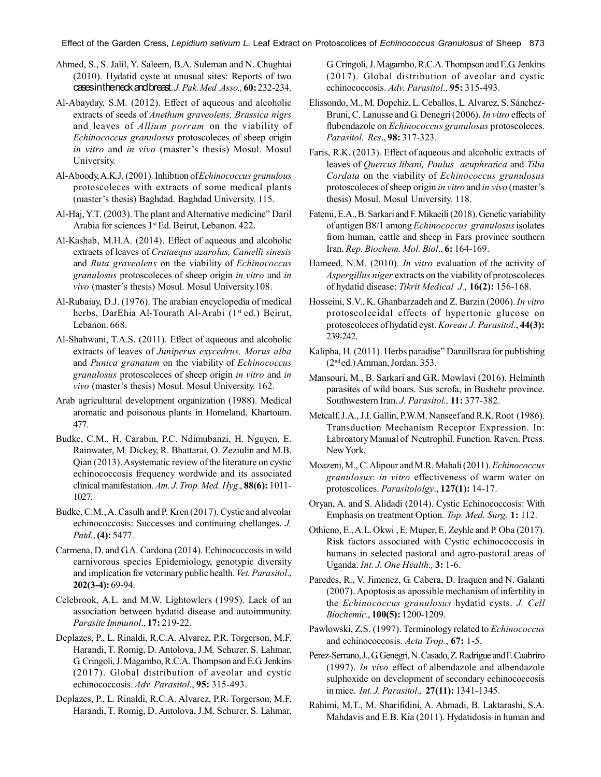Effect of the Garden Cress, *Lepidium sativum L*. Leaf Extract on Protoscolices of *Echinococcus Granulosus* of Sheep 873

- Ahmed, S., S. Jalil, Y. Saleem, B.A. Suleman and N. Chughtai (2010). Hydatid cyste at unusual sites: Reports of two cases in the neck and breast. *J. Pak. Med .Asso.,* **60:** 232-234.
- Al-Abayday, S.M. (2012). Effect of aqueous and alcoholic extracts of seeds of *Anethum graveolens, Brassica nigrs* and leaves of *Allium porrum* on the viability of *Echinococcus granulosus* protoscoleces of sheep origin *in vitro* and *in vivo* (master's thesis) Mosul. Mosul University.
- Al-Aboody, A.K.J. (2001). Inhibtion of *Echinococcus granulous* protoscoleces with extracts of some medical plants (master's thesis) Baghdad. Baghdad University. 115.
- Al-Haj, Y.T. (2003). The plant and Alternative medicine" Daril Arabia for sciences 1<sup>st</sup> Ed. Beirut, Lebanon. 422.
- Al-Kashab, M.H.A. (2014). Effect of aqueous and alcoholic extracts of leaves of *Crataequs azarolus, Camelli sinesis* and *Ruta graveolens* on the viability of *Echinococcus granulosus* protoscoleces of sheep origin *in vitro* and *in vivo* (master's thesis) Mosul. Mosul University.108.
- Al-Rubaiay, D.J. (1976). The arabian encyclopedia of medical herbs, DarEhia Al-Tourath Al-Arabi (1<sup>st</sup> ed.) Beirut, Lebanon. 668.
- Al-Shahwani, T.A.S. (2011). Effect of aqueous and alcoholic extracts of leaves of *Juniperus exycedrus, Morus alba* and *Punica granatum* on the viability of *Echinococcus granulosus* protoscoleces of sheep origin *in vitro* and *in vivo* (master's thesis) Mosul. Mosul University. 162.
- Arab agricultural development organization (1988). Medical aromatic and poisonous plants in Homeland, Khartoum. 477.
- Budke, C.M., H. Carabin, P.C. Ndimubanzi, H. Nguyen, E. Rainwater, M. Dickey, R. Bhattarai, O. Zeziulin and M.B. Qian (2013). Asystematic review of the literature on cystic echinococcosis frequency wordwide and its associated clinical manifestation. *Am. J. Trop. Med. Hyg*., **88(6):** 1011- 1027.
- Budke, C.M., A. Casulh and P. Kren (2017). Cystic and alveolar echinococcosis: Successes and continuing chellanges. *J. Pntd.*, **(4):** 5477.
- Carmena, D. and G.A. Cardona (2014). Echinococcosis in wild carnivorous species Epidemiology, genotypic diversity and implication for veterinary public health. *Vet. Parasitol*., **202(3-4):** 69-94.
- Celebrook, A.L. and M.W. Lightowlers (1995). Lack of an association between hydatid disease and autoimmunity. *Parasite Immunol*., **17:** 219-22.
- Deplazes, P., L. Rinaldi, R.C.A. Alvarez, P.R. Torgerson, M.F. Harandi, T. Romig, D. Antolova, J.M. Schurer, S. Lahmar, G. Cringoli, J. Magambo, R.C.A. Thompson and E.G. Jenkins (2017). Global distribution of aveolar and cystic echinococcosis. *Adv. Parasitol*., **95:** 315-493.
- Deplazes, P., L. Rinaldi, R.C.A. Alvarez, P.R. Torgerson, M.F. Harandi, T. Romig, D. Antolova, J.M. Schurer, S. Lahmar,

G. Cringoli, J. Magambo, R.C.A. Thompson and E.G. Jenkins (2017). Global distribution of aveolar and cystic echinococcosis. *Adv. Parasitol*., **95:** 315-493.

- Elissondo, M., M. Dopchiz, L. Ceballos, L. Alvarez, S. Sánchez-Bruni, C. Lanusse and G. Denegri (2006). *In vitro* effects of flubendazole on *Echinococcus granulosus* protoscoleces. *Parasitol. Res*., **98:** 317-323.
- Faris, R.K. (2013). Effect of aqueous and alcoholic extracts of leaves of *Quercus libani, Poulus aeuphratica* and *Tilia Cordata* on the viability of *Echinococcus granulosus* protoscoleces of sheep origin *in vitro* and *in vivo* (master's thesis) Mosul. Mosul University. 118.
- Fatemi, E.A., B. Sarkari and F. Mikaeili (2018). Genetic variability of antigen B8/1 among *Echinococcus granulosus* isolates from human, cattle and sheep in Fars province southern Iran. *Rep. Biochem. Mol. Biol*., **6:** 164-169.
- Hameed, N.M. (2010). *In vitro* evaluation of the activity of *Aspergillus niger* extracts on the viability of protoscoleces of hydatid disease: *Tikrit Medical J.,* **16(2):** 156-168.
- Hosseini, S.V., K. Ghanbarzadeh and Z. Barzin (2006). *In vitro* protoscolecidal effects of hypertonic glucose on protoscoleces of hydatid cyst. *Korean J. Parasitol*., **44(3):** 239-242.
- Kalipha, H. (2011). Herbs paradise" Daruillsra a for publishing (2nd ed.) Amman, Jordan. 353.
- Mansouri, M., B. Sarkari and G.R. Mowlavi (2016). Helminth parasites of wild boars. Sus scrofa, in Bushehr province. Southwestern Iran. *J. Parasitol.,* **11:** 377-382.
- Metcalf, J.A., J.I. Gallin, P.W.M. Nanseef and R.K. Root (1986). Transduction Mechanism Receptor Expression. In: Labroatory Manual of Neutrophil. Function. Raven. Press. New York.
- Moazeni, M., C. Alipour and M.R. Mahali (2011). *Echinococcus granulosus*: *in vitro* effectiveness of warm water on protoscolices. *Parasitololgy*., **127(1):** 14-17.
- Oryan, A. and S. Alidadi (2014). Cystic Echinococcosis: With Emphasis on treatment Option. *Top. Med. Surg*. **1:** 112.
- Othieno, E., A.L. Okwi , E. Muper, E. Zeyhle and P. Oba (2017). Risk factors associated with Cystic echinococcosis in humans in selected pastoral and agro-pastoral areas of Uganda. *Int. J. One Health.,* **3:** 1-6.
- Paredes, R., V. Jimenez, G. Cabera, D. Iraquen and N. Galanti (2007). Apoptosis as apossible mechanism of infertility in the *Echinococcus granulosus* hydatid cysts. *J. Cell Biochemic*., **100(5):** 1200-1209.
- Pawlowski, Z.S. (1997). Terminology related to *Echinococcus* and echinococcosis. *Acta Trop.*, **67:** 1-5.
- Perez-Serrano, J., G. Genegri, N. Casado, Z. Radrigue and F. Caabriro (1997). *In vivo* effect of albendazole and albendazole sulphoxide on development of secondary echinococcosis in mice. *Int. J. Parasitol.,* **27(11):** 1341-1345.
- Rahimi, M.T., M. Sharifidini, A. Ahmadi, B. Laktarashi, S.A. Mahdavis and E.B. Kia (2011). Hydatidosis in human and